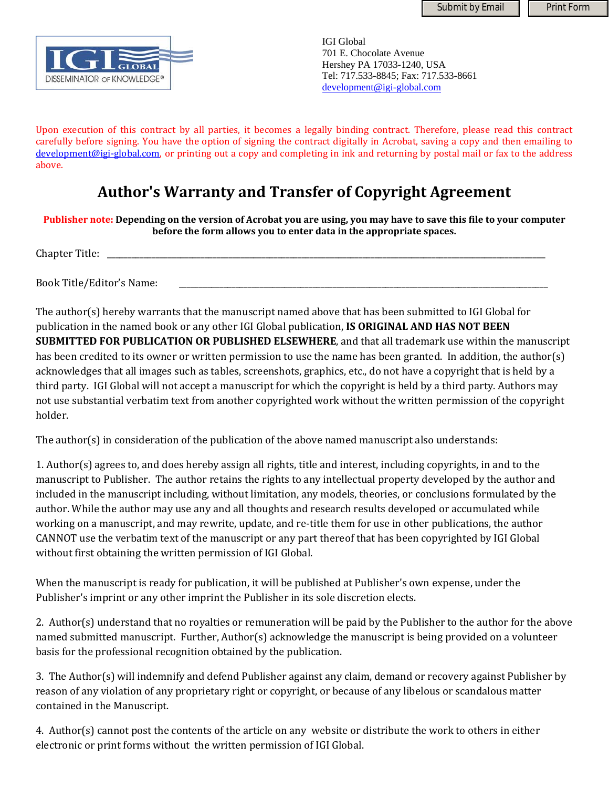Submit by Email | Print Form



IGI Global 701 E. Chocolate Avenue Hershey PA 17033-1240, USA Tel: 717.533-8845; Fax: 717.533-8661 development@igi-global.com

Upon execution of this contract by all parties, it becomes a legally binding contract. Therefore, please read this contract carefully before signing. You have the option of signing the contract digitally in Acrobat, saving a copy and then emailing to development@igi-global.com, or printing out a copy and completing in ink and returning by postal mail or fax to the address above.

## **Author's Warranty and Transfer of Copyright Agreement**

Publisher note: Depending on the version of Acrobat you are using, you may have to save this file to your computer **before the form allows you to enter data in the appropriate spaces.**

Chapter Title:

Book Title/Editor's Name:

The author(s) hereby warrants that the manuscript named above that has been submitted to IGI Global for publication in the named book or any other IGI Global publication, **IS ORIGINAL AND HAS NOT BEEN SUBMITTED FOR PUBLICATION OR PUBLISHED ELSEWHERE**, and that all trademark use within the manuscript has been credited to its owner or written permission to use the name has been granted. In addition, the author(s) acknowledges that all images such as tables, screenshots, graphics, etc., do not have a copyright that is held by a third party. IGI Global will not accept a manuscript for which the copyright is held by a third party. Authors may not use substantial verbatim text from another copyrighted work without the written permission of the copyright holder.

The author(s) in consideration of the publication of the above named manuscript also understands:

1. Author(s) agrees to, and does hereby assign all rights, title and interest, including copyrights, in and to the manuscript to Publisher. The author retains the rights to any intellectual property developed by the author and included in the manuscript including, without limitation, any models, theories, or conclusions formulated by the author. While the author may use any and all thoughts and research results developed or accumulated while working on a manuscript, and may rewrite, update, and re-title them for use in other publications, the author CANNOT use the verbatim text of the manuscript or any part thereof that has been copyrighted by IGI Global without first obtaining the written permission of IGI Global.

When the manuscript is ready for publication, it will be published at Publisher's own expense, under the Publisher's imprint or any other imprint the Publisher in its sole discretion elects.

2. Author(s) understand that no royalties or remuneration will be paid by the Publisher to the author for the above named submitted manuscript. Further, Author(s) acknowledge the manuscript is being provided on a volunteer basis for the professional recognition obtained by the publication.

3. The Author(s) will indemnify and defend Publisher against any claim, demand or recovery against Publisher by reason of any violation of any proprietary right or copyright, or because of any libelous or scandalous matter contained in the Manuscript.

4. Author(s) cannot post the contents of the article on any website or distribute the work to others in either electronic or print forms without the written permission of IGI Global.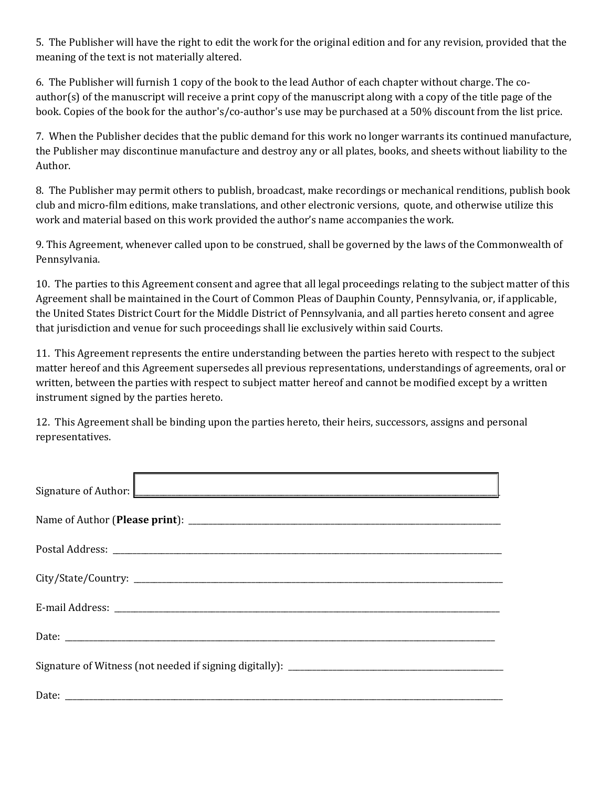5. The Publisher will have the right to edit the work for the original edition and for any revision, provided that the meaning of the text is not materially altered.

6. The Publisher will furnish 1 copy of the book to the lead Author of each chapter without charge. The co‐ author(s) of the manuscript will receive a print copy of the manuscript along with a copy of the title page of the book. Copies of the book for the author's/co-author's use may be purchased at a 50% discount from the list price.

7. When the Publisher decides that the public demand for this work no longer warrants its continued manufacture, the Publisher may discontinue manufacture and destroy any or all plates, books, and sheets without liability to the Author.

8. The Publisher may permit others to publish, broadcast, make recordings or mechanical renditions, publish book club and micro‐film editions, make translations, and other electronic versions, quote, and otherwise utilize this work and material based on this work provided the author's name accompanies the work.

9. This Agreement, whenever called upon to be construed, shall be governed by the laws of the Commonwealth of Pennsylvania.

10. The parties to this Agreement consent and agree that all legal proceedings relating to the subject matter of this Agreement shall be maintained in the Court of Common Pleas of Dauphin County, Pennsylvania, or, if applicable, the United States District Court for the Middle District of Pennsylvania, and all parties hereto consent and agree that jurisdiction and venue for such proceedings shall lie exclusively within said Courts.

11. This Agreement represents the entire understanding between the parties hereto with respect to the subject matter hereof and this Agreement supersedes all previous representations, understandings of agreements, oral or written, between the parties with respect to subject matter hereof and cannot be modified except by a written instrument signed by the parties hereto.

12. This Agreement shall be binding upon the parties hereto, their heirs, successors, assigns and personal representatives.